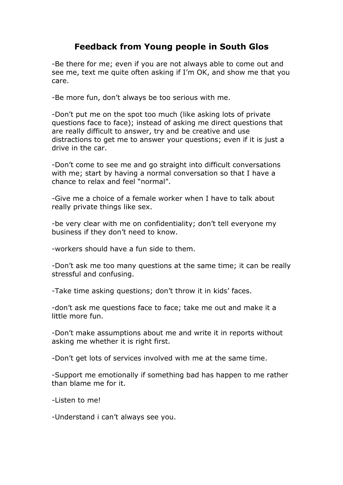## **Feedback from Young people in South Glos**

-Be there for me; even if you are not always able to come out and see me, text me quite often asking if I'm OK, and show me that you care.

-Be more fun, don't always be too serious with me.

-Don't put me on the spot too much (like asking lots of private questions face to face); instead of asking me direct questions that are really difficult to answer, try and be creative and use distractions to get me to answer your questions; even if it is just a drive in the car.

-Don't come to see me and go straight into difficult conversations with me; start by having a normal conversation so that I have a chance to relax and feel "normal".

-Give me a choice of a female worker when I have to talk about really private things like sex.

-be very clear with me on confidentiality; don't tell everyone my business if they don't need to know.

-workers should have a fun side to them.

-Don't ask me too many questions at the same time; it can be really stressful and confusing.

-Take time asking questions; don't throw it in kids' faces.

-don't ask me questions face to face; take me out and make it a little more fun.

-Don't make assumptions about me and write it in reports without asking me whether it is right first.

-Don't get lots of services involved with me at the same time.

-Support me emotionally if something bad has happen to me rather than blame me for it.

-Listen to me!

-Understand i can't always see you.